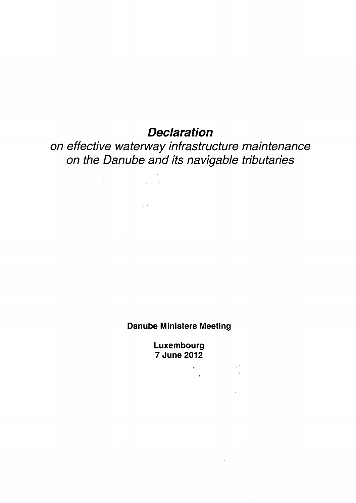## *Declaration*

*on effective waterway infrastructure maintenance on the Danube and its navigable tributaries* 

## **Danube Ministers Meeting**

**Luxembourg 7 June 2012**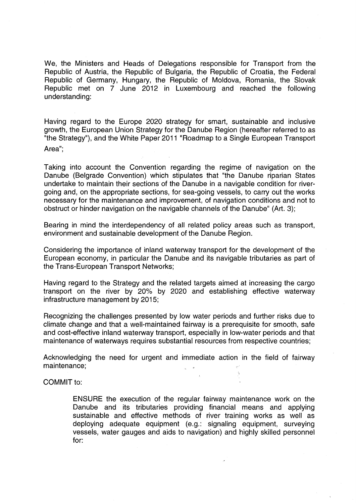We, the Ministers and Heads of Delegations responsible for Transport from the Republic of Austria, the Republic of Bulgaria, the Republic of Croatia, the Federal Republic of Germany, Hungary, the Republic of Moldova, Romania, the Slovak Republic met on 7 June 2012 in Luxembourg and reached the following understanding:

Having regard to the Europe 2020 strategy for smart, sustainable and inclusive growth, the European Union Strategy for the Danube Region (hereafter referred to as "the Strategy"), and the White Paper 2011 "Roadmap to a Single European Transport Area";

Taking into account the Convention regarding the regime of navigation on the Danube (Belgrade Convention) which stipulates that "the Danube riparian States undertake to maintain their sections of the Danube in a navigable condition for rivergoing and, on the appropriate sections, for sea-going vessels, to carry out the works necessary for the maintenance and improvement, of navigation conditions and not to obstruct or hinder navigation on the navigable channels of the Danube" (Art. 3);

Bearing in mind the interdependency of all related policy areas such as transport, environment and sustainable development of the Danube Region.

Considering the importance of inland waterway transport for the development of the European economy, in particular the Danube and its navigable tributaries as part of the Trans-European Transport Networks;

Having regard to the Strategy and the related targets aimed at increasing the cargo transport on the river by 20% by 2020 and establishing effective waterway infrastructure management by 2015;

Recognizing the challenges presented by low water periods and further risks due to climate change and that a well-maintained fairway is a prerequisite for smooth, safe and cost-effective inland waterway transport, especially in low-water periods and that maintenance of waterways requires substantial resources from respective countries;

Acknowledging the need for urgent and immediate action in the field of fairway maintenance;

## COMMIT to:

ENSURE the execution of the regular fairway maintenance work on the Danube and its tributaries providing financial means and applying sustainable and effective methods of river training works as well as deploying adequate equipment (e.g.: signaling equipment, surveying vessels, water gauges and aids to navigation) and highly skilled personnel for: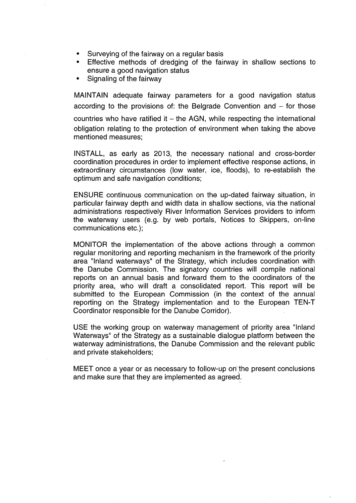- Surveying of the fairway on a regular basis
- Effective methods of dredging of the fairway in shallow sections to ensure a good navigation status
- Signaling of the fairway

MAINTAIN adequate fairway parameters for a good navigation status according to the provisions of: the Belgrade Convention and  $-$  for those countries who have ratified it  $-$  the AGN, while respecting the international obligation relating to the protection of environment when taking the above mentioned measures;

INSTALL, as early as 2013, the necessary national and cross-border coordination procedures in order to implement effective response actions, in extraordinary circumstances (low water, ice, floods), to re-establish the optimum and safe navigation conditions;

ENSURE continuous communication on the up-dated fairway situation, in particular fairway depth and width data in shallow sections, via the national administrations respectively River Information Services providers to inform the waterway users (e.g. by web portals, Notices to Skippers, on-line communications etc.);

MONITOR the implementation of the above actions through a common regular monitoring and reporting mechanism in the framework of the priority area "Inland waterways" of the Strategy, which includes coordination with the Danube Commission. The signatory countries will compile national reports on an annual basis and forward them to the coordinators of the priority area, who will draft a consolidated report. This report will be submitted to the European Commission (in the context of the annual reporting on the Strategy implementation and to the European TEN-T Coordinator responsible for the Danube Corridor).

USE the working group on waterway management of priority area "Inland Waterways" of the Strategy as a sustainable dialogue platform between the waterway administrations, the Danube Commission and the relevant public and private stakeholders;

MEET once a year or as necessary to follow-up on the present conclusions and make sure that they are implemented as agreed.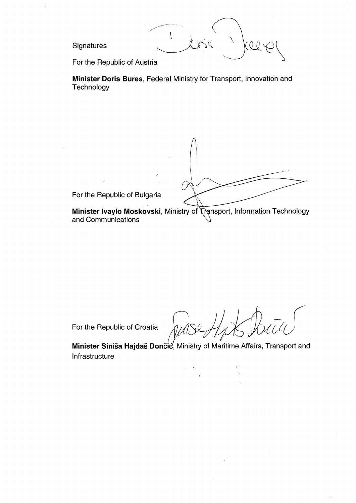Signatures

CO 0

For the Republic of Austria

Minister Doris Bures, Federal Ministry for Transport, Innovation and Technology

For the Republic of Bulgaria

Minister Ivaylo Moskovski, Ministry of Transport, Information Technology and Communications

For the Republic of Croatia

Minister Siniša Hajdaš Dončić, Ministry of Maritime Affairs, Transport and Infrastructure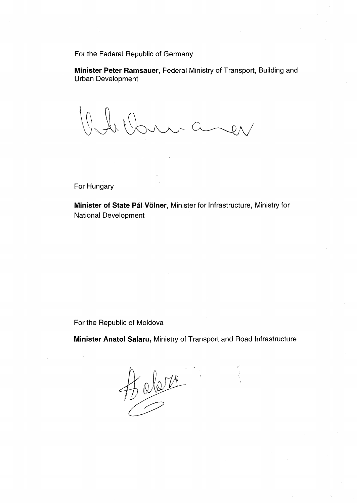For the Federal Republic of Germany

**Minister Peter Ramsauer,** Federal Ministry of Transport, Building and Urban Development

Olde Varn aver

For Hungary

**Minister of State Pál Völner,** Minister for Infrastructure, Ministry for National Development

For the Republic of Moldova

**Minister Anatol Salaru,** Ministry of Transport and Road Infrastructure

 $\frac{1}{2}$  above